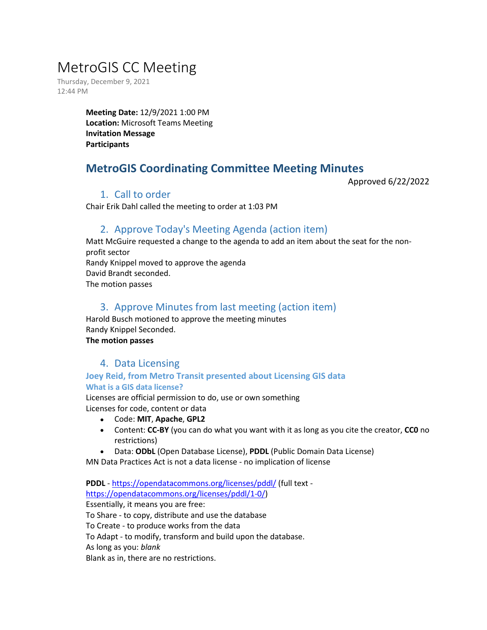# MetroGIS CC Meeting

Thursday, December 9, 2021 12:44 PM

> **Meeting Date:** 12/9/2021 1:00 PM **Location:** Microsoft Teams Meeting **Invitation Message Participants**

## **MetroGIS Coordinating Committee Meeting Minutes**

Approved 6/22/2022

## 1. Call to order

Chair Erik Dahl called the meeting to order at 1:03 PM

## 2. Approve Today's Meeting Agenda (action item)

Matt McGuire requested a change to the agenda to add an item about the seat for the nonprofit sector Randy Knippel moved to approve the agenda David Brandt seconded. The motion passes

## 3. Approve Minutes from last meeting (action item)

Harold Busch motioned to approve the meeting minutes Randy Knippel Seconded. **The motion passes**

## 4. Data Licensing

## **Joey Reid, from Metro Transit presented about Licensing GIS data What is a GIS data license?**

Licenses are official permission to do, use or own something Licenses for code, content or data

- Code: **MIT**, **Apache**, **GPL2**
- Content: **CC-BY** (you can do what you want with it as long as you cite the creator, **CC0** no restrictions)
- Data: **ODbL** (Open Database License), **PDDL** (Public Domain Data License)

MN Data Practices Act is not a data license - no implication of license

**PDDL** - <https://opendatacommons.org/licenses/pddl/> (full text [https://opendatacommons.org/licenses/pddl/1-0/\)](https://opendatacommons.org/licenses/pddl/1-0/)

Essentially, it means you are free:

To Share - to copy, distribute and use the database

To Create - to produce works from the data

To Adapt - to modify, transform and build upon the database.

As long as you: *blank*

Blank as in, there are no restrictions.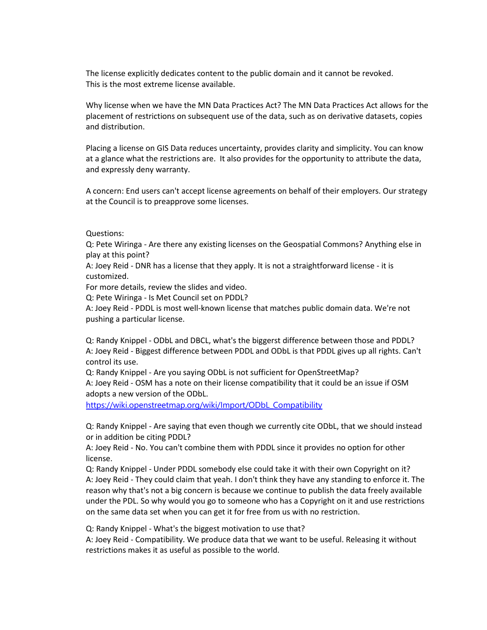The license explicitly dedicates content to the public domain and it cannot be revoked. This is the most extreme license available.

Why license when we have the MN Data Practices Act? The MN Data Practices Act allows for the placement of restrictions on subsequent use of the data, such as on derivative datasets, copies and distribution.

Placing a license on GIS Data reduces uncertainty, provides clarity and simplicity. You can know at a glance what the restrictions are. It also provides for the opportunity to attribute the data, and expressly deny warranty.

A concern: End users can't accept license agreements on behalf of their employers. Our strategy at the Council is to preapprove some licenses.

Questions:

Q: Pete Wiringa - Are there any existing licenses on the Geospatial Commons? Anything else in play at this point?

A: Joey Reid - DNR has a license that they apply. It is not a straightforward license - it is customized.

For more details, review the slides and video.

Q: Pete Wiringa - Is Met Council set on PDDL?

A: Joey Reid - PDDL is most well-known license that matches public domain data. We're not pushing a particular license.

Q: Randy Knippel - ODbL and DBCL, what's the biggerst difference between those and PDDL? A: Joey Reid - Biggest difference between PDDL and ODbL is that PDDL gives up all rights. Can't control its use.

Q: Randy Knippel - Are you saying ODbL is not sufficient for OpenStreetMap?

A: Joey Reid - OSM has a note on their license compatibility that it could be an issue if OSM adopts a new version of the ODbL.

[https://wiki.openstreetmap.org/wiki/Import/ODbL\\_Compatibility](https://wiki.openstreetmap.org/wiki/Import/ODbL_Compatibility)

Q: Randy Knippel - Are saying that even though we currently cite ODbL, that we should instead or in addition be citing PDDL?

A: Joey Reid - No. You can't combine them with PDDL since it provides no option for other license.

Q: Randy Knippel - Under PDDL somebody else could take it with their own Copyright on it? A: Joey Reid - They could claim that yeah. I don't think they have any standing to enforce it. The reason why that's not a big concern is because we continue to publish the data freely available under the PDL. So why would you go to someone who has a Copyright on it and use restrictions on the same data set when you can get it for free from us with no restriction.

Q: Randy Knippel - What's the biggest motivation to use that?

A: Joey Reid - Compatibility. We produce data that we want to be useful. Releasing it without restrictions makes it as useful as possible to the world.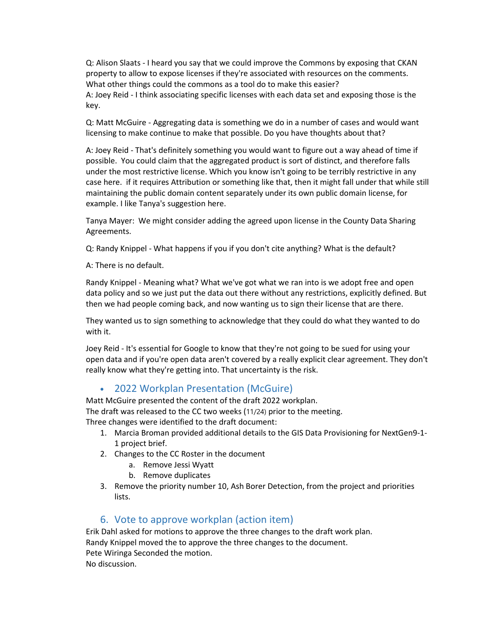Q: Alison Slaats - I heard you say that we could improve the Commons by exposing that CKAN property to allow to expose licenses if they're associated with resources on the comments. What other things could the commons as a tool do to make this easier? A: Joey Reid - I think associating specific licenses with each data set and exposing those is the key.

Q: Matt McGuire - Aggregating data is something we do in a number of cases and would want licensing to make continue to make that possible. Do you have thoughts about that?

A: Joey Reid - That's definitely something you would want to figure out a way ahead of time if possible. You could claim that the aggregated product is sort of distinct, and therefore falls under the most restrictive license. Which you know isn't going to be terribly restrictive in any case here. if it requires Attribution or something like that, then it might fall under that while still maintaining the public domain content separately under its own public domain license, for example. I like Tanya's suggestion here.

Tanya Mayer: We might consider adding the agreed upon license in the County Data Sharing Agreements.

Q: Randy Knippel - What happens if you if you don't cite anything? What is the default?

A: There is no default.

Randy Knippel - Meaning what? What we've got what we ran into is we adopt free and open data policy and so we just put the data out there without any restrictions, explicitly defined. But then we had people coming back, and now wanting us to sign their license that are there.

They wanted us to sign something to acknowledge that they could do what they wanted to do with it.

Joey Reid - It's essential for Google to know that they're not going to be sued for using your open data and if you're open data aren't covered by a really explicit clear agreement. They don't really know what they're getting into. That uncertainty is the risk.

## • 2022 Workplan Presentation (McGuire)

Matt McGuire presented the content of the draft 2022 workplan.

The draft was released to the CC two weeks (11/24) prior to the meeting.

Three changes were identified to the draft document:

- 1. Marcia Broman provided additional details to the GIS Data Provisioning for NextGen9-1- 1 project brief.
- 2. Changes to the CC Roster in the document
	- a. Remove Jessi Wyatt
	- b. Remove duplicates
- 3. Remove the priority number 10, Ash Borer Detection, from the project and priorities lists.

## 6. Vote to approve workplan (action item)

Erik Dahl asked for motions to approve the three changes to the draft work plan. Randy Knippel moved the to approve the three changes to the document. Pete Wiringa Seconded the motion. No discussion.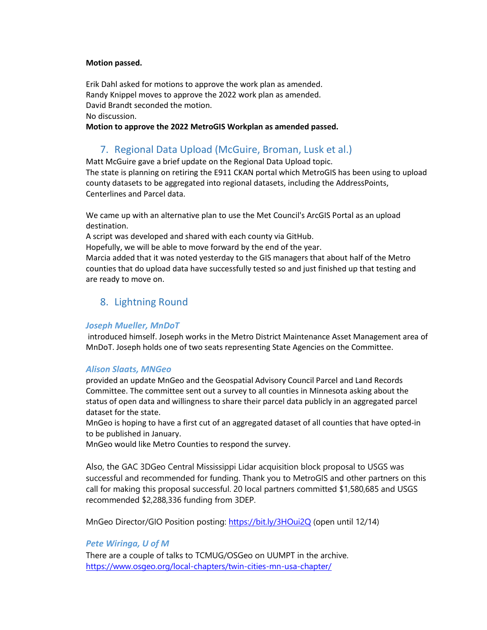#### **Motion passed.**

Erik Dahl asked for motions to approve the work plan as amended. Randy Knippel moves to approve the 2022 work plan as amended. David Brandt seconded the motion. No discussion.

**Motion to approve the 2022 MetroGIS Workplan as amended passed.**

## 7. Regional Data Upload (McGuire, Broman, Lusk et al.)

Matt McGuire gave a brief update on the Regional Data Upload topic. The state is planning on retiring the E911 CKAN portal which MetroGIS has been using to upload county datasets to be aggregated into regional datasets, including the AddressPoints, Centerlines and Parcel data.

We came up with an alternative plan to use the Met Council's ArcGIS Portal as an upload destination.

A script was developed and shared with each county via GitHub.

Hopefully, we will be able to move forward by the end of the year.

Marcia added that it was noted yesterday to the GIS managers that about half of the Metro counties that do upload data have successfully tested so and just finished up that testing and are ready to move on.

## 8. Lightning Round

#### *Joseph Mueller, MnDoT*

introduced himself. Joseph works in the Metro District Maintenance Asset Management area of MnDoT. Joseph holds one of two seats representing State Agencies on the Committee.

#### *Alison Slaats, MNGeo*

provided an update MnGeo and the Geospatial Advisory Council Parcel and Land Records Committee. The committee sent out a survey to all counties in Minnesota asking about the status of open data and willingness to share their parcel data publicly in an aggregated parcel dataset for the state.

MnGeo is hoping to have a first cut of an aggregated dataset of all counties that have opted-in to be published in January.

MnGeo would like Metro Counties to respond the survey.

Also, the GAC 3DGeo Central Mississippi Lidar acquisition block proposal to USGS was successful and recommended for funding. Thank you to MetroGIS and other partners on this call for making this proposal successful. 20 local partners committed \$1,580,685 and USGS recommended \$2,288,336 funding from 3DEP.

MnGeo Director/GIO Position posting:<https://bit.ly/3HOui2Q> (open until 12/14)

#### *Pete Wiringa, U of M*

There are a couple of talks to TCMUG/OSGeo on UUMPT in the archive. <https://www.osgeo.org/local-chapters/twin-cities-mn-usa-chapter/>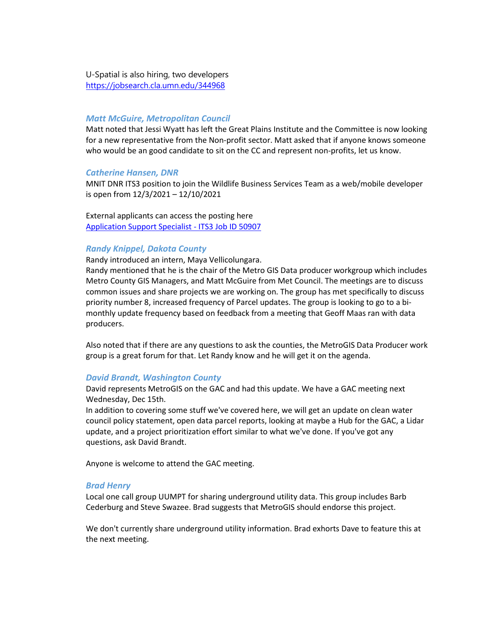U-Spatial is also hiring, two developers <https://jobsearch.cla.umn.edu/344968>

#### *Matt McGuire, Metropolitan Council*

Matt noted that Jessi Wyatt has left the Great Plains Institute and the Committee is now looking for a new representative from the Non-profit sector. Matt asked that if anyone knows someone who would be an good candidate to sit on the CC and represent non-profits, let us know.

#### *Catherine Hansen, DNR*

MNIT DNR ITS3 position to join the Wildlife Business Services Team as a web/mobile developer is open from 12/3/2021 – 12/10/2021

External applicants can access the posting here [Application Support Specialist -](https://careers.mn.gov/psp/mnjob/MNCAREERS/HRCR/c/HRS_HRAM_FL.HRS_CG_SEARCH_FL.GBL?Page=HRS_APP_JBPST_FL&Action=U&FOCUS=Applicant&SiteId=1001&JobOpeningId=50907&PostingSeq=1) ITS3 Job ID 50907

#### *Randy Knippel, Dakota County*

Randy introduced an intern, Maya Vellicolungara.

Randy mentioned that he is the chair of the Metro GIS Data producer workgroup which includes Metro County GIS Managers, and Matt McGuire from Met Council. The meetings are to discuss common issues and share projects we are working on. The group has met specifically to discuss priority number 8, increased frequency of Parcel updates. The group is looking to go to a bimonthly update frequency based on feedback from a meeting that Geoff Maas ran with data producers.

Also noted that if there are any questions to ask the counties, the MetroGIS Data Producer work group is a great forum for that. Let Randy know and he will get it on the agenda.

#### *David Brandt, Washington County*

David represents MetroGIS on the GAC and had this update. We have a GAC meeting next Wednesday, Dec 15th.

In addition to covering some stuff we've covered here, we will get an update on clean water council policy statement, open data parcel reports, looking at maybe a Hub for the GAC, a Lidar update, and a project prioritization effort similar to what we've done. If you've got any questions, ask David Brandt.

Anyone is welcome to attend the GAC meeting.

#### *Brad Henry*

Local one call group UUMPT for sharing underground utility data. This group includes Barb Cederburg and Steve Swazee. Brad suggests that MetroGIS should endorse this project.

We don't currently share underground utility information. Brad exhorts Dave to feature this at the next meeting.